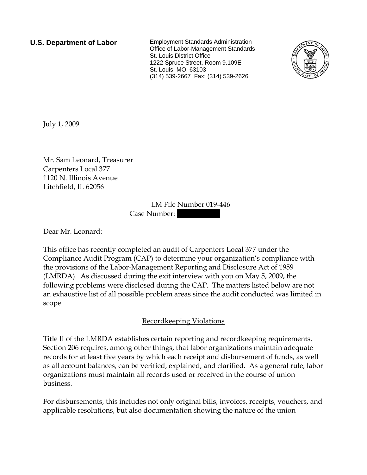**U.S. Department of Labor** Employment Standards Administration Office of Labor-Management Standards St. Louis District Office 1222 Spruce Street, Room 9.109E St. Louis, MO 63103 (314) 539-2667 Fax: (314) 539-2626



July 1, 2009

Mr. Sam Leonard, Treasurer Carpenters Local 377 1120 N. Illinois Avenue Litchfield, IL 62056

> LM File Number 019-446 Case Number:

Dear Mr. Leonard:

This office has recently completed an audit of Carpenters Local 377 under the Compliance Audit Program (CAP) to determine your organization's compliance with the provisions of the Labor-Management Reporting and Disclosure Act of 1959 (LMRDA). As discussed during the exit interview with you on May 5, 2009, the following problems were disclosed during the CAP. The matters listed below are not an exhaustive list of all possible problem areas since the audit conducted was limited in scope.

## Recordkeeping Violations

Title II of the LMRDA establishes certain reporting and recordkeeping requirements. Section 206 requires, among other things, that labor organizations maintain adequate records for at least five years by which each receipt and disbursement of funds, as well as all account balances, can be verified, explained, and clarified. As a general rule, labor organizations must maintain all records used or received in the course of union business.

For disbursements, this includes not only original bills, invoices, receipts, vouchers, and applicable resolutions, but also documentation showing the nature of the union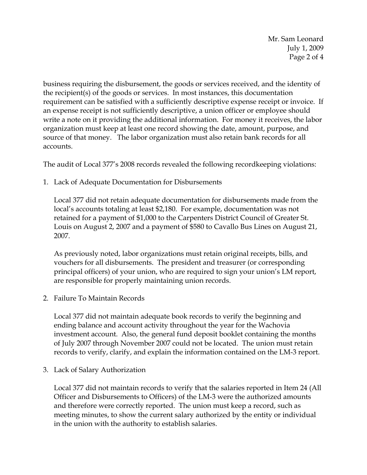Mr. Sam Leonard July 1, 2009 Page 2 of 4

business requiring the disbursement, the goods or services received, and the identity of the recipient(s) of the goods or services. In most instances, this documentation requirement can be satisfied with a sufficiently descriptive expense receipt or invoice. If an expense receipt is not sufficiently descriptive, a union officer or employee should write a note on it providing the additional information. For money it receives, the labor organization must keep at least one record showing the date, amount, purpose, and source of that money. The labor organization must also retain bank records for all accounts.

The audit of Local 377's 2008 records revealed the following recordkeeping violations:

1. Lack of Adequate Documentation for Disbursements

Local 377 did not retain adequate documentation for disbursements made from the local's accounts totaling at least \$2,180. For example, documentation was not retained for a payment of \$1,000 to the Carpenters District Council of Greater St. Louis on August 2, 2007 and a payment of \$580 to Cavallo Bus Lines on August 21, 2007.

As previously noted, labor organizations must retain original receipts, bills, and vouchers for all disbursements. The president and treasurer (or corresponding principal officers) of your union, who are required to sign your union's LM report, are responsible for properly maintaining union records.

2. Failure To Maintain Records

Local 377 did not maintain adequate book records to verify the beginning and ending balance and account activity throughout the year for the Wachovia investment account. Also, the general fund deposit booklet containing the months of July 2007 through November 2007 could not be located. The union must retain records to verify, clarify, and explain the information contained on the LM-3 report.

3. Lack of Salary Authorization

Local 377 did not maintain records to verify that the salaries reported in Item 24 (All Officer and Disbursements to Officers) of the LM-3 were the authorized amounts and therefore were correctly reported. The union must keep a record, such as meeting minutes, to show the current salary authorized by the entity or individual in the union with the authority to establish salaries.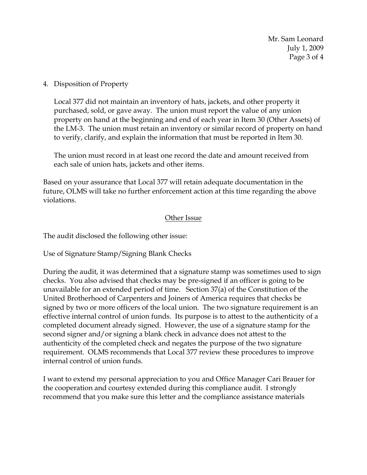Mr. Sam Leonard July 1, 2009 Page 3 of 4

## 4. Disposition of Property

Local 377 did not maintain an inventory of hats, jackets, and other property it purchased, sold, or gave away. The union must report the value of any union property on hand at the beginning and end of each year in Item 30 (Other Assets) of the LM-3. The union must retain an inventory or similar record of property on hand to verify, clarify, and explain the information that must be reported in Item 30.

The union must record in at least one record the date and amount received from each sale of union hats, jackets and other items.

Based on your assurance that Local 377 will retain adequate documentation in the future, OLMS will take no further enforcement action at this time regarding the above violations.

## Other Issue

The audit disclosed the following other issue:

Use of Signature Stamp/Signing Blank Checks

During the audit, it was determined that a signature stamp was sometimes used to sign checks. You also advised that checks may be pre-signed if an officer is going to be unavailable for an extended period of time. Section 37(a) of the Constitution of the United Brotherhood of Carpenters and Joiners of America requires that checks be signed by two or more officers of the local union. The two signature requirement is an effective internal control of union funds. Its purpose is to attest to the authenticity of a completed document already signed. However, the use of a signature stamp for the second signer and/or signing a blank check in advance does not attest to the authenticity of the completed check and negates the purpose of the two signature requirement. OLMS recommends that Local 377 review these procedures to improve internal control of union funds.

I want to extend my personal appreciation to you and Office Manager Cari Brauer for the cooperation and courtesy extended during this compliance audit. I strongly recommend that you make sure this letter and the compliance assistance materials